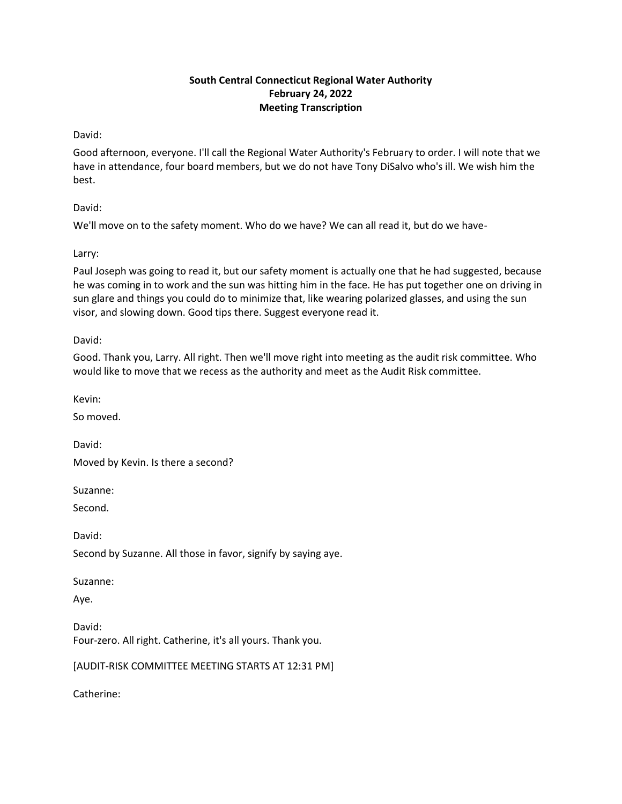# **South Central Connecticut Regional Water Authority February 24, 2022 Meeting Transcription**

David:

Good afternoon, everyone. I'll call the Regional Water Authority's February to order. I will note that we have in attendance, four board members, but we do not have Tony DiSalvo who's ill. We wish him the best.

David:

We'll move on to the safety moment. Who do we have? We can all read it, but do we have-

Larry:

Paul Joseph was going to read it, but our safety moment is actually one that he had suggested, because he was coming in to work and the sun was hitting him in the face. He has put together one on driving in sun glare and things you could do to minimize that, like wearing polarized glasses, and using the sun visor, and slowing down. Good tips there. Suggest everyone read it.

David:

Good. Thank you, Larry. All right. Then we'll move right into meeting as the audit risk committee. Who would like to move that we recess as the authority and meet as the Audit Risk committee.

Kevin:

So moved.

David: Moved by Kevin. Is there a second?

Suzanne:

Second.

David:

Second by Suzanne. All those in favor, signify by saying aye.

Suzanne:

Aye.

David: Four-zero. All right. Catherine, it's all yours. Thank you.

[AUDIT-RISK COMMITTEE MEETING STARTS AT 12:31 PM]

Catherine: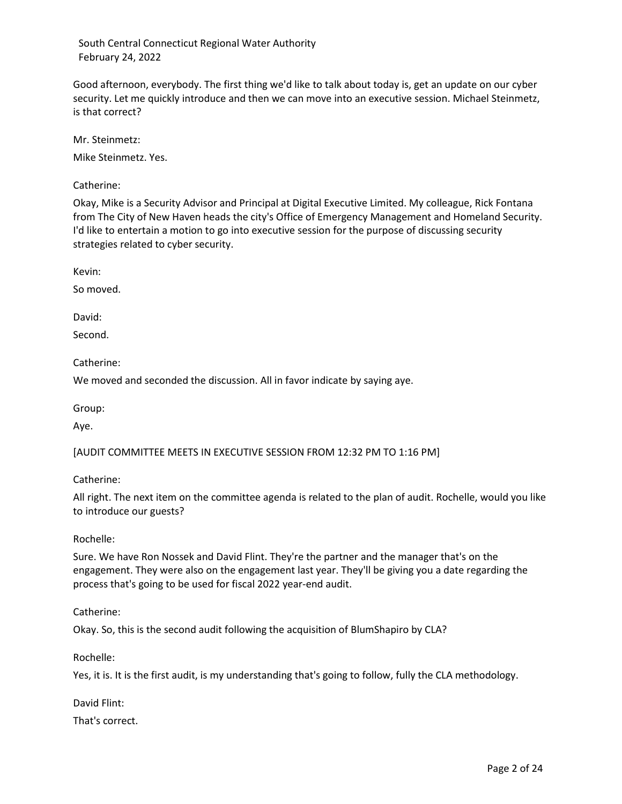Good afternoon, everybody. The first thing we'd like to talk about today is, get an update on our cyber security. Let me quickly introduce and then we can move into an executive session. Michael Steinmetz, is that correct?

Mr. Steinmetz:

Mike Steinmetz. Yes.

Catherine:

Okay, Mike is a Security Advisor and Principal at Digital Executive Limited. My colleague, Rick Fontana from The City of New Haven heads the city's Office of Emergency Management and Homeland Security. I'd like to entertain a motion to go into executive session for the purpose of discussing security strategies related to cyber security.

Kevin:

So moved.

David:

Second.

Catherine:

We moved and seconded the discussion. All in favor indicate by saying aye.

Group:

Aye.

[AUDIT COMMITTEE MEETS IN EXECUTIVE SESSION FROM 12:32 PM TO 1:16 PM]

Catherine:

All right. The next item on the committee agenda is related to the plan of audit. Rochelle, would you like to introduce our guests?

### Rochelle:

Sure. We have Ron Nossek and David Flint. They're the partner and the manager that's on the engagement. They were also on the engagement last year. They'll be giving you a date regarding the process that's going to be used for fiscal 2022 year-end audit.

Catherine:

Okay. So, this is the second audit following the acquisition of BlumShapiro by CLA?

Rochelle:

Yes, it is. It is the first audit, is my understanding that's going to follow, fully the CLA methodology.

David Flint:

That's correct.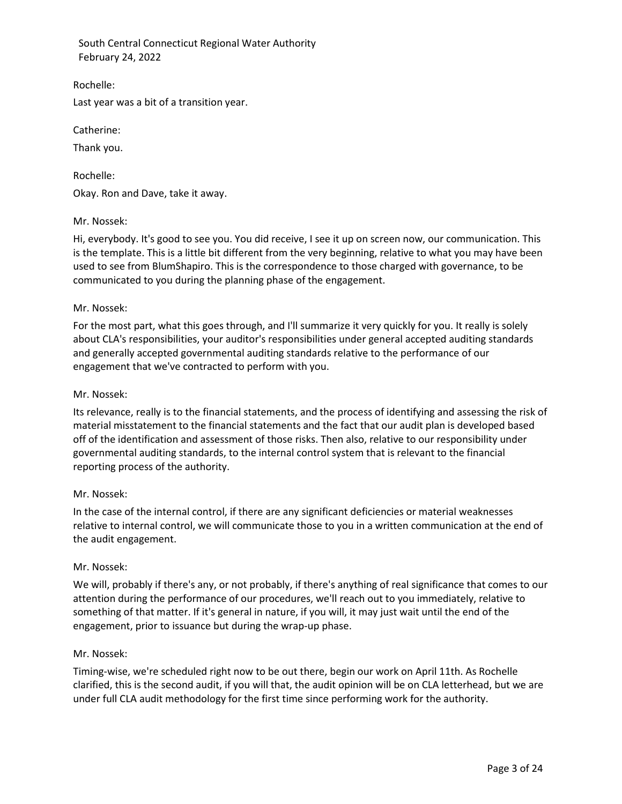Rochelle:

Last year was a bit of a transition year.

Catherine:

Thank you.

Rochelle: Okay. Ron and Dave, take it away.

## Mr. Nossek:

Hi, everybody. It's good to see you. You did receive, I see it up on screen now, our communication. This is the template. This is a little bit different from the very beginning, relative to what you may have been used to see from BlumShapiro. This is the correspondence to those charged with governance, to be communicated to you during the planning phase of the engagement.

## Mr. Nossek:

For the most part, what this goes through, and I'll summarize it very quickly for you. It really is solely about CLA's responsibilities, your auditor's responsibilities under general accepted auditing standards and generally accepted governmental auditing standards relative to the performance of our engagement that we've contracted to perform with you.

## Mr. Nossek:

Its relevance, really is to the financial statements, and the process of identifying and assessing the risk of material misstatement to the financial statements and the fact that our audit plan is developed based off of the identification and assessment of those risks. Then also, relative to our responsibility under governmental auditing standards, to the internal control system that is relevant to the financial reporting process of the authority.

## Mr. Nossek:

In the case of the internal control, if there are any significant deficiencies or material weaknesses relative to internal control, we will communicate those to you in a written communication at the end of the audit engagement.

### Mr. Nossek:

We will, probably if there's any, or not probably, if there's anything of real significance that comes to our attention during the performance of our procedures, we'll reach out to you immediately, relative to something of that matter. If it's general in nature, if you will, it may just wait until the end of the engagement, prior to issuance but during the wrap-up phase.

### Mr. Nossek:

Timing-wise, we're scheduled right now to be out there, begin our work on April 11th. As Rochelle clarified, this is the second audit, if you will that, the audit opinion will be on CLA letterhead, but we are under full CLA audit methodology for the first time since performing work for the authority.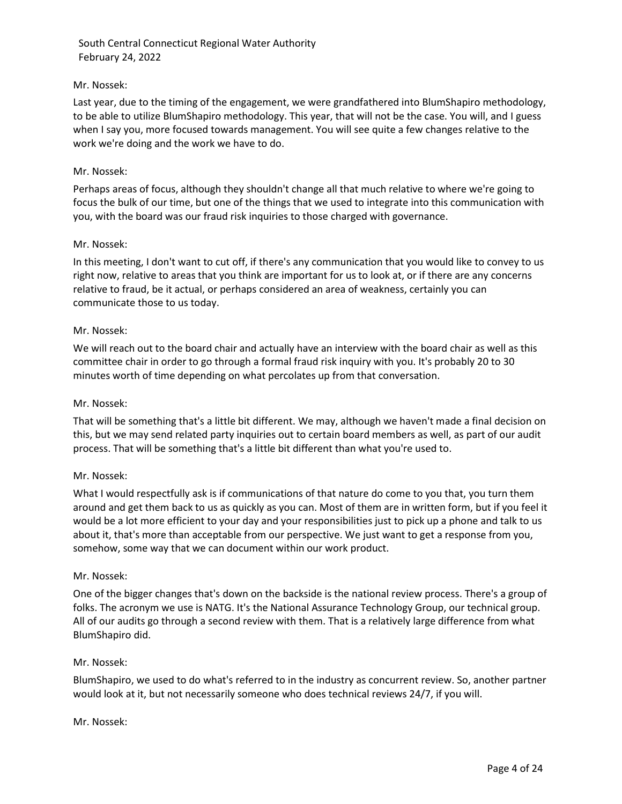## Mr. Nossek:

Last year, due to the timing of the engagement, we were grandfathered into BlumShapiro methodology, to be able to utilize BlumShapiro methodology. This year, that will not be the case. You will, and I guess when I say you, more focused towards management. You will see quite a few changes relative to the work we're doing and the work we have to do.

### Mr. Nossek:

Perhaps areas of focus, although they shouldn't change all that much relative to where we're going to focus the bulk of our time, but one of the things that we used to integrate into this communication with you, with the board was our fraud risk inquiries to those charged with governance.

## Mr. Nossek:

In this meeting, I don't want to cut off, if there's any communication that you would like to convey to us right now, relative to areas that you think are important for us to look at, or if there are any concerns relative to fraud, be it actual, or perhaps considered an area of weakness, certainly you can communicate those to us today.

## Mr. Nossek:

We will reach out to the board chair and actually have an interview with the board chair as well as this committee chair in order to go through a formal fraud risk inquiry with you. It's probably 20 to 30 minutes worth of time depending on what percolates up from that conversation.

### Mr. Nossek:

That will be something that's a little bit different. We may, although we haven't made a final decision on this, but we may send related party inquiries out to certain board members as well, as part of our audit process. That will be something that's a little bit different than what you're used to.

### Mr. Nossek:

What I would respectfully ask is if communications of that nature do come to you that, you turn them around and get them back to us as quickly as you can. Most of them are in written form, but if you feel it would be a lot more efficient to your day and your responsibilities just to pick up a phone and talk to us about it, that's more than acceptable from our perspective. We just want to get a response from you, somehow, some way that we can document within our work product.

### Mr. Nossek:

One of the bigger changes that's down on the backside is the national review process. There's a group of folks. The acronym we use is NATG. It's the National Assurance Technology Group, our technical group. All of our audits go through a second review with them. That is a relatively large difference from what BlumShapiro did.

### Mr. Nossek:

BlumShapiro, we used to do what's referred to in the industry as concurrent review. So, another partner would look at it, but not necessarily someone who does technical reviews 24/7, if you will.

### Mr. Nossek: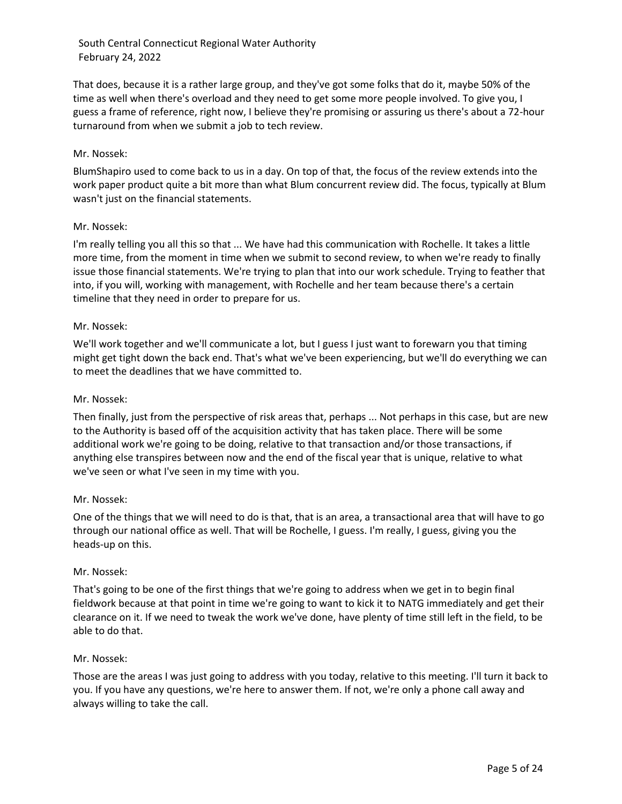That does, because it is a rather large group, and they've got some folks that do it, maybe 50% of the time as well when there's overload and they need to get some more people involved. To give you, I guess a frame of reference, right now, I believe they're promising or assuring us there's about a 72-hour turnaround from when we submit a job to tech review.

## Mr. Nossek:

BlumShapiro used to come back to us in a day. On top of that, the focus of the review extends into the work paper product quite a bit more than what Blum concurrent review did. The focus, typically at Blum wasn't just on the financial statements.

## Mr. Nossek:

I'm really telling you all this so that ... We have had this communication with Rochelle. It takes a little more time, from the moment in time when we submit to second review, to when we're ready to finally issue those financial statements. We're trying to plan that into our work schedule. Trying to feather that into, if you will, working with management, with Rochelle and her team because there's a certain timeline that they need in order to prepare for us.

## Mr. Nossek:

We'll work together and we'll communicate a lot, but I guess I just want to forewarn you that timing might get tight down the back end. That's what we've been experiencing, but we'll do everything we can to meet the deadlines that we have committed to.

## Mr. Nossek:

Then finally, just from the perspective of risk areas that, perhaps ... Not perhaps in this case, but are new to the Authority is based off of the acquisition activity that has taken place. There will be some additional work we're going to be doing, relative to that transaction and/or those transactions, if anything else transpires between now and the end of the fiscal year that is unique, relative to what we've seen or what I've seen in my time with you.

### Mr. Nossek:

One of the things that we will need to do is that, that is an area, a transactional area that will have to go through our national office as well. That will be Rochelle, I guess. I'm really, I guess, giving you the heads-up on this.

### Mr. Nossek:

That's going to be one of the first things that we're going to address when we get in to begin final fieldwork because at that point in time we're going to want to kick it to NATG immediately and get their clearance on it. If we need to tweak the work we've done, have plenty of time still left in the field, to be able to do that.

### Mr. Nossek:

Those are the areas I was just going to address with you today, relative to this meeting. I'll turn it back to you. If you have any questions, we're here to answer them. If not, we're only a phone call away and always willing to take the call.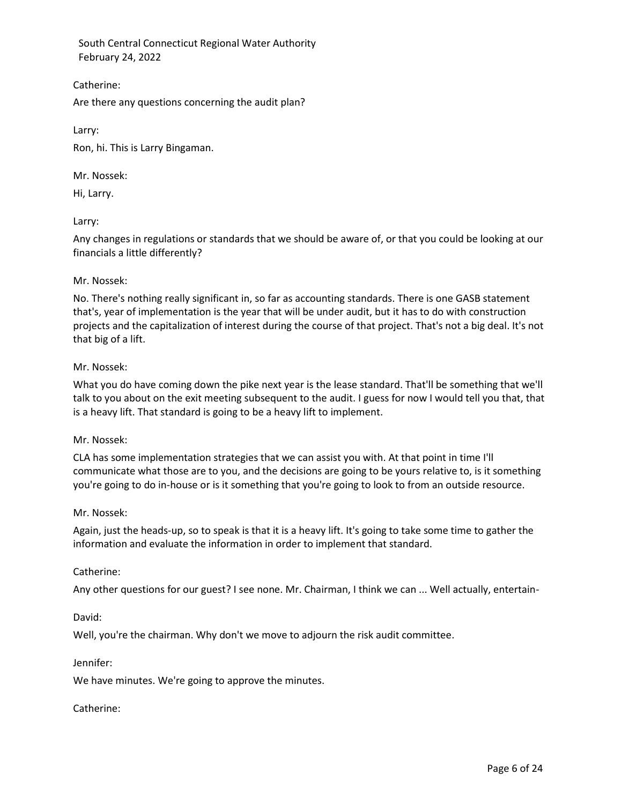Catherine:

Are there any questions concerning the audit plan?

Larry:

Ron, hi. This is Larry Bingaman.

Mr. Nossek:

Hi, Larry.

## Larry:

Any changes in regulations or standards that we should be aware of, or that you could be looking at our financials a little differently?

### Mr. Nossek:

No. There's nothing really significant in, so far as accounting standards. There is one GASB statement that's, year of implementation is the year that will be under audit, but it has to do with construction projects and the capitalization of interest during the course of that project. That's not a big deal. It's not that big of a lift.

## Mr. Nossek:

What you do have coming down the pike next year is the lease standard. That'll be something that we'll talk to you about on the exit meeting subsequent to the audit. I guess for now I would tell you that, that is a heavy lift. That standard is going to be a heavy lift to implement.

### Mr. Nossek:

CLA has some implementation strategies that we can assist you with. At that point in time I'll communicate what those are to you, and the decisions are going to be yours relative to, is it something you're going to do in-house or is it something that you're going to look to from an outside resource.

### Mr. Nossek:

Again, just the heads-up, so to speak is that it is a heavy lift. It's going to take some time to gather the information and evaluate the information in order to implement that standard.

## Catherine:

Any other questions for our guest? I see none. Mr. Chairman, I think we can ... Well actually, entertain-

David:

Well, you're the chairman. Why don't we move to adjourn the risk audit committee.

### Jennifer:

We have minutes. We're going to approve the minutes.

### Catherine: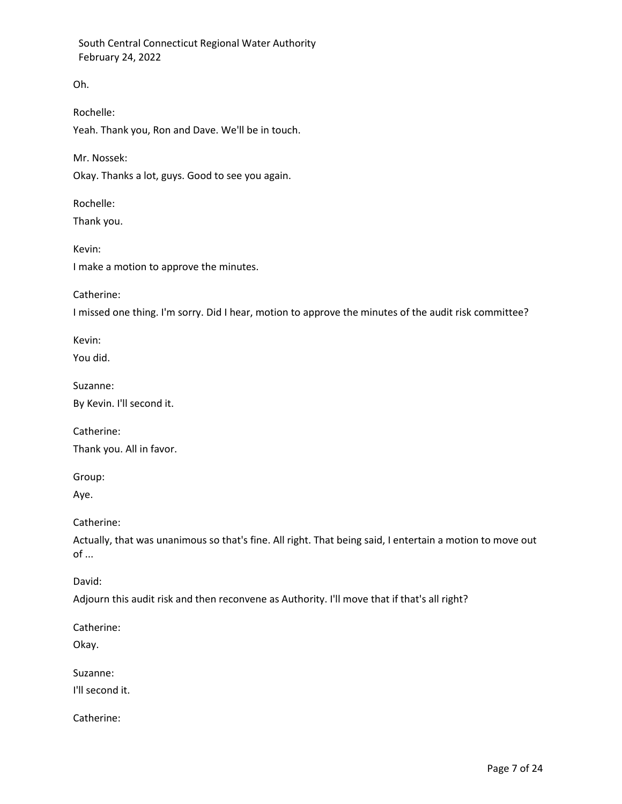Oh.

Rochelle:

Yeah. Thank you, Ron and Dave. We'll be in touch.

Mr. Nossek:

Okay. Thanks a lot, guys. Good to see you again.

Rochelle:

Thank you.

Kevin: I make a motion to approve the minutes.

Catherine:

I missed one thing. I'm sorry. Did I hear, motion to approve the minutes of the audit risk committee?

Kevin:

You did.

Suzanne:

By Kevin. I'll second it.

Catherine:

Thank you. All in favor.

Group:

Aye.

Catherine:

Actually, that was unanimous so that's fine. All right. That being said, I entertain a motion to move out of ...

David:

Adjourn this audit risk and then reconvene as Authority. I'll move that if that's all right?

Catherine:

Okay.

Suzanne:

I'll second it.

Catherine: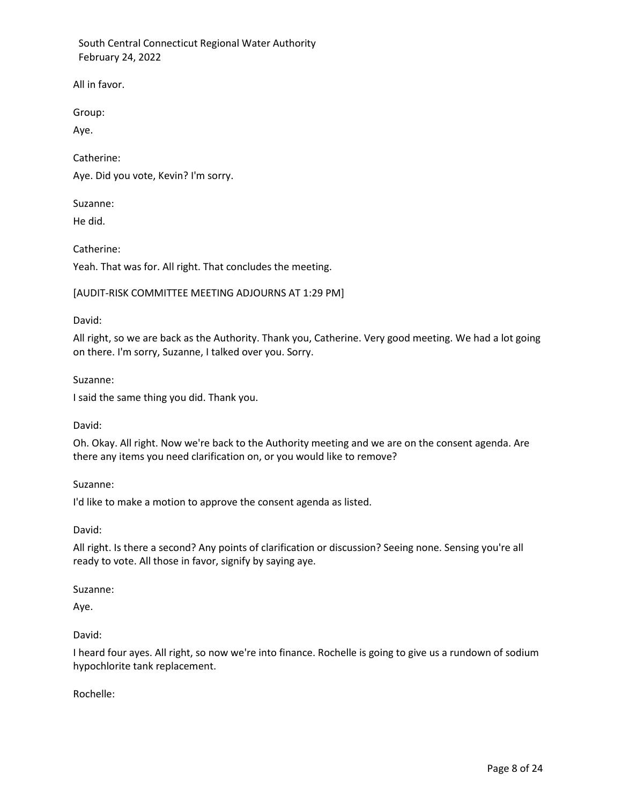All in favor.

Group:

Aye.

Catherine: Aye. Did you vote, Kevin? I'm sorry.

Suzanne:

He did.

Catherine:

Yeah. That was for. All right. That concludes the meeting.

## [AUDIT-RISK COMMITTEE MEETING ADJOURNS AT 1:29 PM]

David:

All right, so we are back as the Authority. Thank you, Catherine. Very good meeting. We had a lot going on there. I'm sorry, Suzanne, I talked over you. Sorry.

Suzanne:

I said the same thing you did. Thank you.

David:

Oh. Okay. All right. Now we're back to the Authority meeting and we are on the consent agenda. Are there any items you need clarification on, or you would like to remove?

### Suzanne:

I'd like to make a motion to approve the consent agenda as listed.

David:

All right. Is there a second? Any points of clarification or discussion? Seeing none. Sensing you're all ready to vote. All those in favor, signify by saying aye.

Suzanne:

Aye.

David:

I heard four ayes. All right, so now we're into finance. Rochelle is going to give us a rundown of sodium hypochlorite tank replacement.

Rochelle: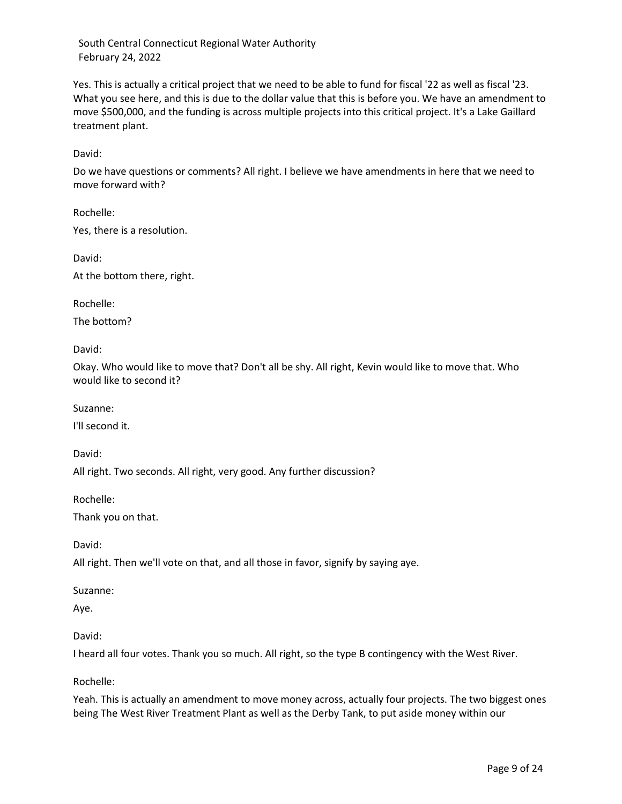Yes. This is actually a critical project that we need to be able to fund for fiscal '22 as well as fiscal '23. What you see here, and this is due to the dollar value that this is before you. We have an amendment to move \$500,000, and the funding is across multiple projects into this critical project. It's a Lake Gaillard treatment plant.

David:

Do we have questions or comments? All right. I believe we have amendments in here that we need to move forward with?

Rochelle: Yes, there is a resolution.

David: At the bottom there, right.

Rochelle:

The bottom?

David:

Okay. Who would like to move that? Don't all be shy. All right, Kevin would like to move that. Who would like to second it?

Suzanne:

I'll second it.

David:

All right. Two seconds. All right, very good. Any further discussion?

Rochelle:

Thank you on that.

David:

All right. Then we'll vote on that, and all those in favor, signify by saying aye.

Suzanne:

Aye.

### David:

I heard all four votes. Thank you so much. All right, so the type B contingency with the West River.

Rochelle:

Yeah. This is actually an amendment to move money across, actually four projects. The two biggest ones being The West River Treatment Plant as well as the Derby Tank, to put aside money within our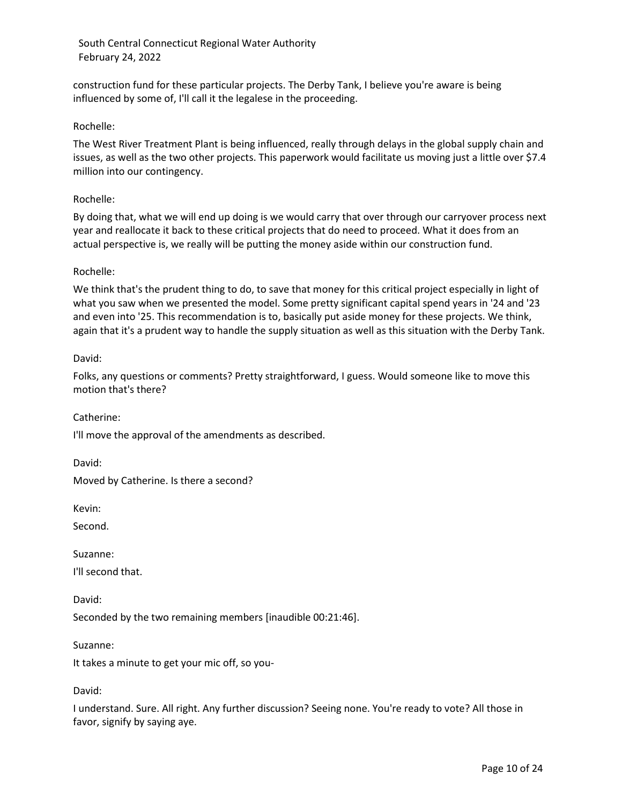construction fund for these particular projects. The Derby Tank, I believe you're aware is being influenced by some of, I'll call it the legalese in the proceeding.

## Rochelle:

The West River Treatment Plant is being influenced, really through delays in the global supply chain and issues, as well as the two other projects. This paperwork would facilitate us moving just a little over \$7.4 million into our contingency.

## Rochelle:

By doing that, what we will end up doing is we would carry that over through our carryover process next year and reallocate it back to these critical projects that do need to proceed. What it does from an actual perspective is, we really will be putting the money aside within our construction fund.

## Rochelle:

We think that's the prudent thing to do, to save that money for this critical project especially in light of what you saw when we presented the model. Some pretty significant capital spend years in '24 and '23 and even into '25. This recommendation is to, basically put aside money for these projects. We think, again that it's a prudent way to handle the supply situation as well as this situation with the Derby Tank.

## David:

Folks, any questions or comments? Pretty straightforward, I guess. Would someone like to move this motion that's there?

Catherine:

I'll move the approval of the amendments as described.

David:

Moved by Catherine. Is there a second?

Kevin:

Second.

Suzanne: I'll second that.

David:

Seconded by the two remaining members [inaudible 00:21:46].

Suzanne:

It takes a minute to get your mic off, so you-

David:

I understand. Sure. All right. Any further discussion? Seeing none. You're ready to vote? All those in favor, signify by saying aye.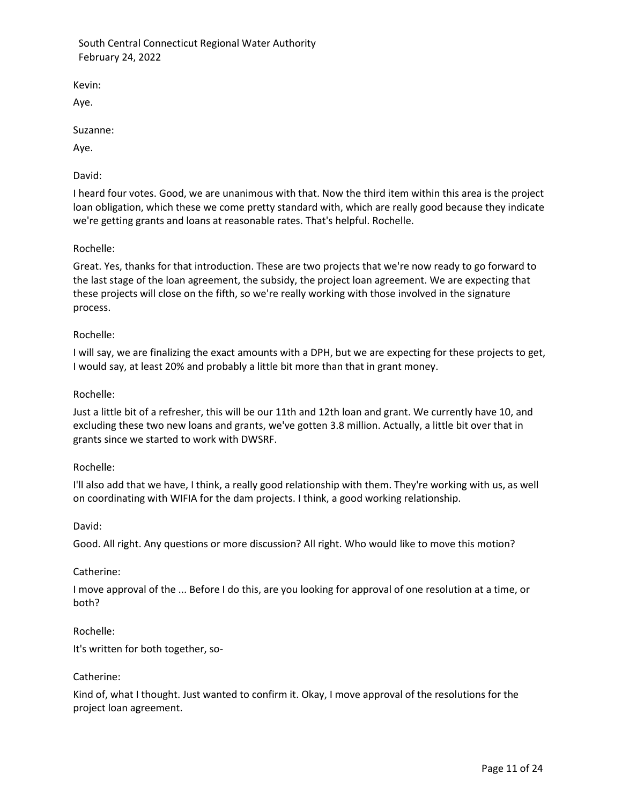Kevin:

Aye.

Suzanne:

Aye.

David:

I heard four votes. Good, we are unanimous with that. Now the third item within this area is the project loan obligation, which these we come pretty standard with, which are really good because they indicate we're getting grants and loans at reasonable rates. That's helpful. Rochelle.

Rochelle:

Great. Yes, thanks for that introduction. These are two projects that we're now ready to go forward to the last stage of the loan agreement, the subsidy, the project loan agreement. We are expecting that these projects will close on the fifth, so we're really working with those involved in the signature process.

## Rochelle:

I will say, we are finalizing the exact amounts with a DPH, but we are expecting for these projects to get, I would say, at least 20% and probably a little bit more than that in grant money.

## Rochelle:

Just a little bit of a refresher, this will be our 11th and 12th loan and grant. We currently have 10, and excluding these two new loans and grants, we've gotten 3.8 million. Actually, a little bit over that in grants since we started to work with DWSRF.

### Rochelle:

I'll also add that we have, I think, a really good relationship with them. They're working with us, as well on coordinating with WIFIA for the dam projects. I think, a good working relationship.

David:

Good. All right. Any questions or more discussion? All right. Who would like to move this motion?

### Catherine:

I move approval of the ... Before I do this, are you looking for approval of one resolution at a time, or both?

## Rochelle:

It's written for both together, so-

### Catherine:

Kind of, what I thought. Just wanted to confirm it. Okay, I move approval of the resolutions for the project loan agreement.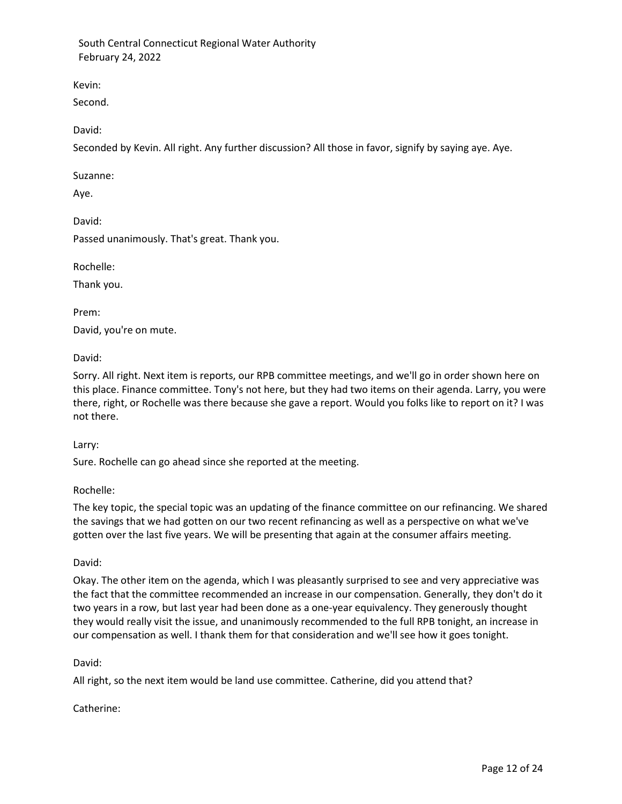Kevin:

Second.

David:

Seconded by Kevin. All right. Any further discussion? All those in favor, signify by saying aye. Aye.

Suzanne:

Aye.

David:

Passed unanimously. That's great. Thank you.

Rochelle:

Thank you.

Prem: David, you're on mute.

David:

Sorry. All right. Next item is reports, our RPB committee meetings, and we'll go in order shown here on this place. Finance committee. Tony's not here, but they had two items on their agenda. Larry, you were there, right, or Rochelle was there because she gave a report. Would you folks like to report on it? I was not there.

Larry:

Sure. Rochelle can go ahead since she reported at the meeting.

Rochelle:

The key topic, the special topic was an updating of the finance committee on our refinancing. We shared the savings that we had gotten on our two recent refinancing as well as a perspective on what we've gotten over the last five years. We will be presenting that again at the consumer affairs meeting.

## David:

Okay. The other item on the agenda, which I was pleasantly surprised to see and very appreciative was the fact that the committee recommended an increase in our compensation. Generally, they don't do it two years in a row, but last year had been done as a one-year equivalency. They generously thought they would really visit the issue, and unanimously recommended to the full RPB tonight, an increase in our compensation as well. I thank them for that consideration and we'll see how it goes tonight.

David:

All right, so the next item would be land use committee. Catherine, did you attend that?

Catherine: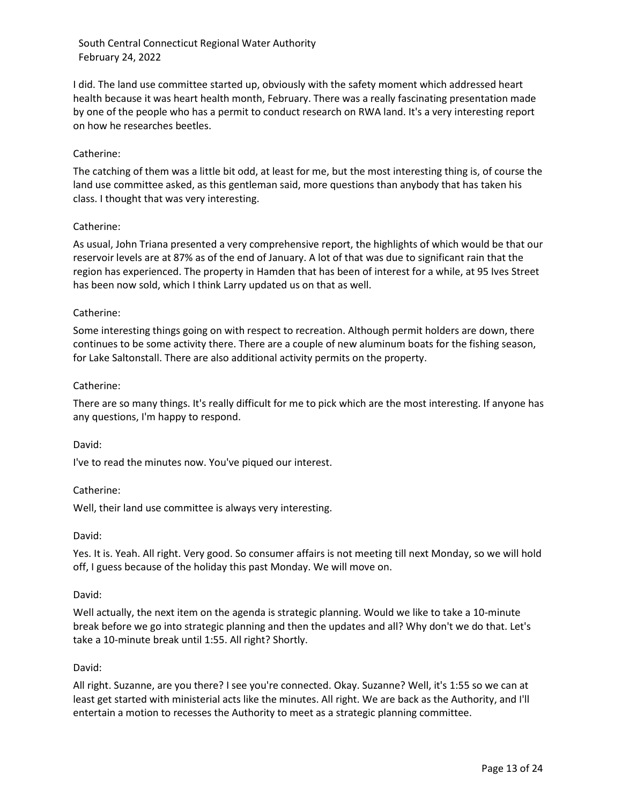I did. The land use committee started up, obviously with the safety moment which addressed heart health because it was heart health month, February. There was a really fascinating presentation made by one of the people who has a permit to conduct research on RWA land. It's a very interesting report on how he researches beetles.

## Catherine:

The catching of them was a little bit odd, at least for me, but the most interesting thing is, of course the land use committee asked, as this gentleman said, more questions than anybody that has taken his class. I thought that was very interesting.

## Catherine:

As usual, John Triana presented a very comprehensive report, the highlights of which would be that our reservoir levels are at 87% as of the end of January. A lot of that was due to significant rain that the region has experienced. The property in Hamden that has been of interest for a while, at 95 Ives Street has been now sold, which I think Larry updated us on that as well.

# Catherine:

Some interesting things going on with respect to recreation. Although permit holders are down, there continues to be some activity there. There are a couple of new aluminum boats for the fishing season, for Lake Saltonstall. There are also additional activity permits on the property.

## Catherine:

There are so many things. It's really difficult for me to pick which are the most interesting. If anyone has any questions, I'm happy to respond.

## David:

I've to read the minutes now. You've piqued our interest.

## Catherine:

Well, their land use committee is always very interesting.

## David:

Yes. It is. Yeah. All right. Very good. So consumer affairs is not meeting till next Monday, so we will hold off, I guess because of the holiday this past Monday. We will move on.

## David:

Well actually, the next item on the agenda is strategic planning. Would we like to take a 10-minute break before we go into strategic planning and then the updates and all? Why don't we do that. Let's take a 10-minute break until 1:55. All right? Shortly.

## David:

All right. Suzanne, are you there? I see you're connected. Okay. Suzanne? Well, it's 1:55 so we can at least get started with ministerial acts like the minutes. All right. We are back as the Authority, and I'll entertain a motion to recesses the Authority to meet as a strategic planning committee.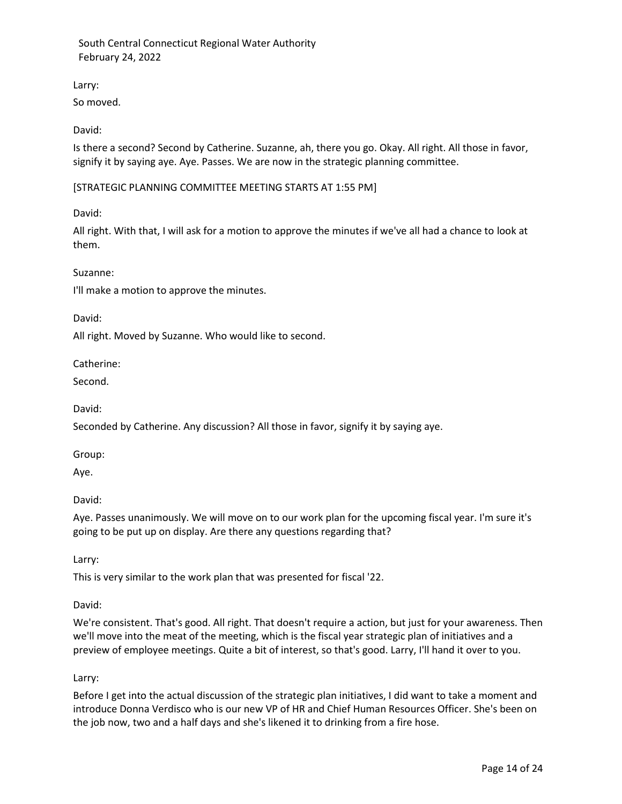Larry:

So moved.

David:

Is there a second? Second by Catherine. Suzanne, ah, there you go. Okay. All right. All those in favor, signify it by saying aye. Aye. Passes. We are now in the strategic planning committee.

[STRATEGIC PLANNING COMMITTEE MEETING STARTS AT 1:55 PM]

David:

All right. With that, I will ask for a motion to approve the minutes if we've all had a chance to look at them.

Suzanne:

I'll make a motion to approve the minutes.

David:

All right. Moved by Suzanne. Who would like to second.

Catherine:

Second.

David:

Seconded by Catherine. Any discussion? All those in favor, signify it by saying aye.

Group:

Aye.

David:

Aye. Passes unanimously. We will move on to our work plan for the upcoming fiscal year. I'm sure it's going to be put up on display. Are there any questions regarding that?

Larry:

This is very similar to the work plan that was presented for fiscal '22.

## David:

We're consistent. That's good. All right. That doesn't require a action, but just for your awareness. Then we'll move into the meat of the meeting, which is the fiscal year strategic plan of initiatives and a preview of employee meetings. Quite a bit of interest, so that's good. Larry, I'll hand it over to you.

Larry:

Before I get into the actual discussion of the strategic plan initiatives, I did want to take a moment and introduce Donna Verdisco who is our new VP of HR and Chief Human Resources Officer. She's been on the job now, two and a half days and she's likened it to drinking from a fire hose.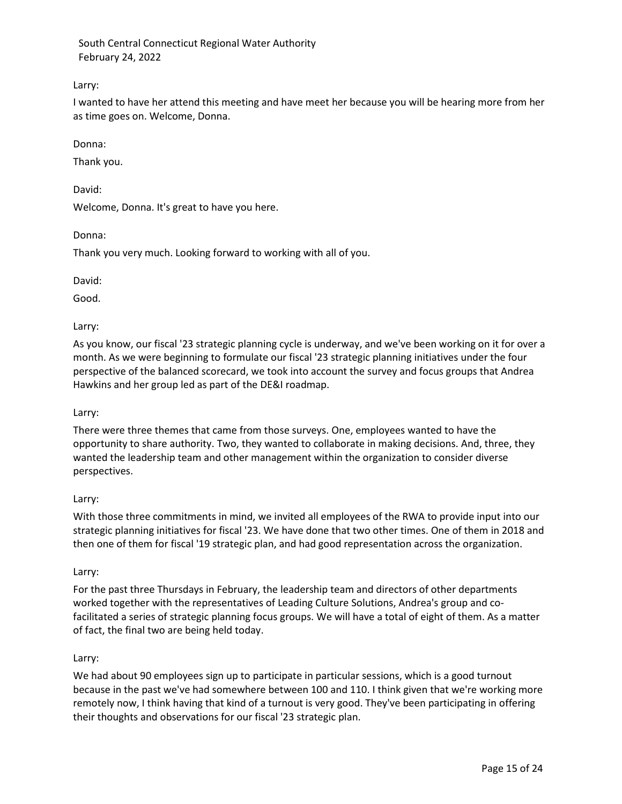## Larry:

I wanted to have her attend this meeting and have meet her because you will be hearing more from her as time goes on. Welcome, Donna.

Donna:

Thank you.

David:

Welcome, Donna. It's great to have you here.

Donna:

Thank you very much. Looking forward to working with all of you.

David:

Good.

Larry:

As you know, our fiscal '23 strategic planning cycle is underway, and we've been working on it for over a month. As we were beginning to formulate our fiscal '23 strategic planning initiatives under the four perspective of the balanced scorecard, we took into account the survey and focus groups that Andrea Hawkins and her group led as part of the DE&I roadmap.

## Larry:

There were three themes that came from those surveys. One, employees wanted to have the opportunity to share authority. Two, they wanted to collaborate in making decisions. And, three, they wanted the leadership team and other management within the organization to consider diverse perspectives.

## Larry:

With those three commitments in mind, we invited all employees of the RWA to provide input into our strategic planning initiatives for fiscal '23. We have done that two other times. One of them in 2018 and then one of them for fiscal '19 strategic plan, and had good representation across the organization.

## Larry:

For the past three Thursdays in February, the leadership team and directors of other departments worked together with the representatives of Leading Culture Solutions, Andrea's group and cofacilitated a series of strategic planning focus groups. We will have a total of eight of them. As a matter of fact, the final two are being held today.

## Larry:

We had about 90 employees sign up to participate in particular sessions, which is a good turnout because in the past we've had somewhere between 100 and 110. I think given that we're working more remotely now, I think having that kind of a turnout is very good. They've been participating in offering their thoughts and observations for our fiscal '23 strategic plan.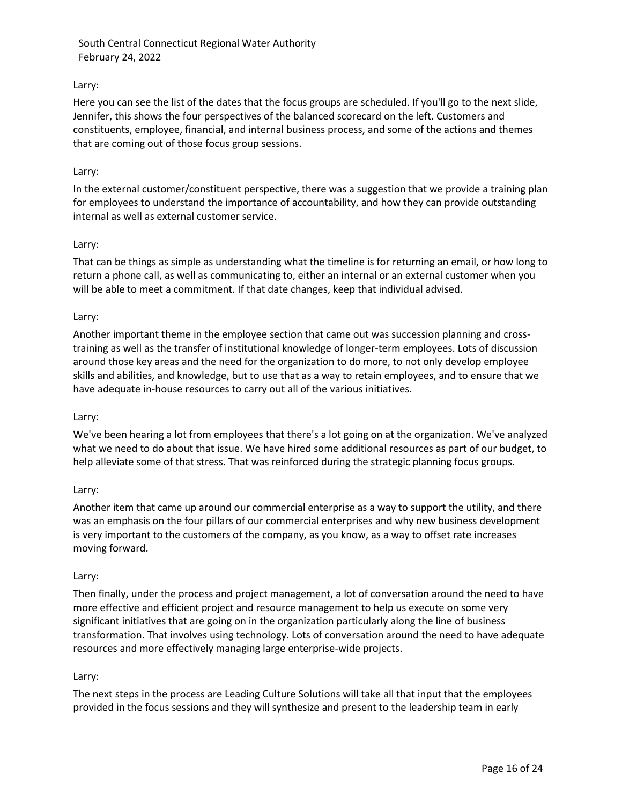## Larry:

Here you can see the list of the dates that the focus groups are scheduled. If you'll go to the next slide, Jennifer, this shows the four perspectives of the balanced scorecard on the left. Customers and constituents, employee, financial, and internal business process, and some of the actions and themes that are coming out of those focus group sessions.

### Larry:

In the external customer/constituent perspective, there was a suggestion that we provide a training plan for employees to understand the importance of accountability, and how they can provide outstanding internal as well as external customer service.

## Larry:

That can be things as simple as understanding what the timeline is for returning an email, or how long to return a phone call, as well as communicating to, either an internal or an external customer when you will be able to meet a commitment. If that date changes, keep that individual advised.

## Larry:

Another important theme in the employee section that came out was succession planning and crosstraining as well as the transfer of institutional knowledge of longer-term employees. Lots of discussion around those key areas and the need for the organization to do more, to not only develop employee skills and abilities, and knowledge, but to use that as a way to retain employees, and to ensure that we have adequate in-house resources to carry out all of the various initiatives.

### Larry:

We've been hearing a lot from employees that there's a lot going on at the organization. We've analyzed what we need to do about that issue. We have hired some additional resources as part of our budget, to help alleviate some of that stress. That was reinforced during the strategic planning focus groups.

### Larry:

Another item that came up around our commercial enterprise as a way to support the utility, and there was an emphasis on the four pillars of our commercial enterprises and why new business development is very important to the customers of the company, as you know, as a way to offset rate increases moving forward.

### Larry:

Then finally, under the process and project management, a lot of conversation around the need to have more effective and efficient project and resource management to help us execute on some very significant initiatives that are going on in the organization particularly along the line of business transformation. That involves using technology. Lots of conversation around the need to have adequate resources and more effectively managing large enterprise-wide projects.

### Larry:

The next steps in the process are Leading Culture Solutions will take all that input that the employees provided in the focus sessions and they will synthesize and present to the leadership team in early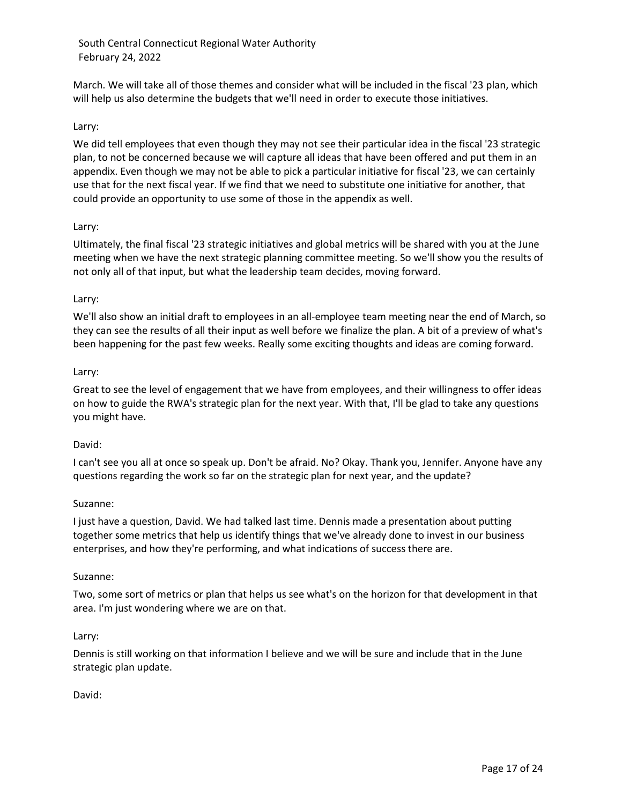March. We will take all of those themes and consider what will be included in the fiscal '23 plan, which will help us also determine the budgets that we'll need in order to execute those initiatives.

## Larry:

We did tell employees that even though they may not see their particular idea in the fiscal '23 strategic plan, to not be concerned because we will capture all ideas that have been offered and put them in an appendix. Even though we may not be able to pick a particular initiative for fiscal '23, we can certainly use that for the next fiscal year. If we find that we need to substitute one initiative for another, that could provide an opportunity to use some of those in the appendix as well.

### Larry:

Ultimately, the final fiscal '23 strategic initiatives and global metrics will be shared with you at the June meeting when we have the next strategic planning committee meeting. So we'll show you the results of not only all of that input, but what the leadership team decides, moving forward.

### Larry:

We'll also show an initial draft to employees in an all-employee team meeting near the end of March, so they can see the results of all their input as well before we finalize the plan. A bit of a preview of what's been happening for the past few weeks. Really some exciting thoughts and ideas are coming forward.

### Larry:

Great to see the level of engagement that we have from employees, and their willingness to offer ideas on how to guide the RWA's strategic plan for the next year. With that, I'll be glad to take any questions you might have.

### David:

I can't see you all at once so speak up. Don't be afraid. No? Okay. Thank you, Jennifer. Anyone have any questions regarding the work so far on the strategic plan for next year, and the update?

### Suzanne:

I just have a question, David. We had talked last time. Dennis made a presentation about putting together some metrics that help us identify things that we've already done to invest in our business enterprises, and how they're performing, and what indications of success there are.

### Suzanne:

Two, some sort of metrics or plan that helps us see what's on the horizon for that development in that area. I'm just wondering where we are on that.

### Larry:

Dennis is still working on that information I believe and we will be sure and include that in the June strategic plan update.

David: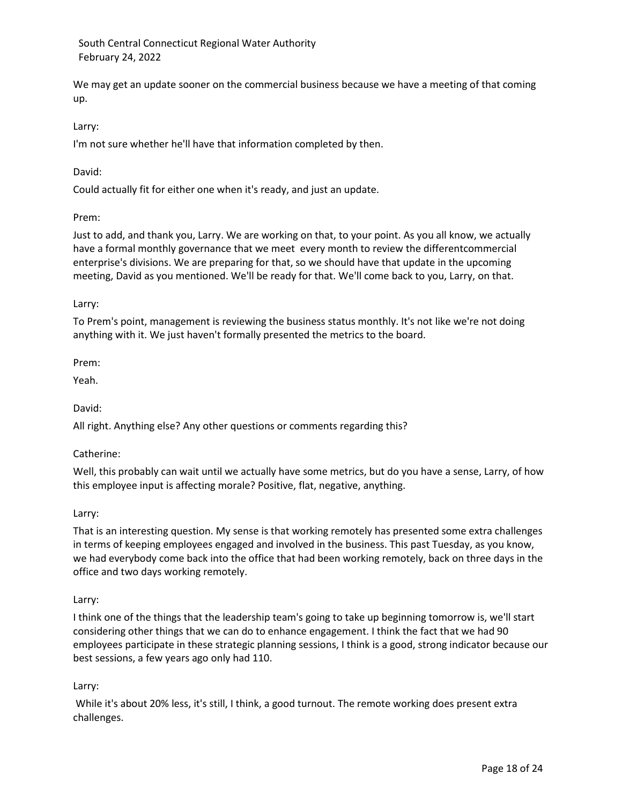We may get an update sooner on the commercial business because we have a meeting of that coming up.

## Larry:

I'm not sure whether he'll have that information completed by then.

## David:

Could actually fit for either one when it's ready, and just an update.

## Prem:

Just to add, and thank you, Larry. We are working on that, to your point. As you all know, we actually have a formal monthly governance that we meet every month to review the differentcommercial enterprise's divisions. We are preparing for that, so we should have that update in the upcoming meeting, David as you mentioned. We'll be ready for that. We'll come back to you, Larry, on that.

## Larry:

To Prem's point, management is reviewing the business status monthly. It's not like we're not doing anything with it. We just haven't formally presented the metrics to the board.

Prem:

Yeah.

David:

All right. Anything else? Any other questions or comments regarding this?

### Catherine:

Well, this probably can wait until we actually have some metrics, but do you have a sense, Larry, of how this employee input is affecting morale? Positive, flat, negative, anything.

### Larry:

That is an interesting question. My sense is that working remotely has presented some extra challenges in terms of keeping employees engaged and involved in the business. This past Tuesday, as you know, we had everybody come back into the office that had been working remotely, back on three days in the office and two days working remotely.

### Larry:

I think one of the things that the leadership team's going to take up beginning tomorrow is, we'll start considering other things that we can do to enhance engagement. I think the fact that we had 90 employees participate in these strategic planning sessions, I think is a good, strong indicator because our best sessions, a few years ago only had 110.

## Larry:

While it's about 20% less, it's still, I think, a good turnout. The remote working does present extra challenges.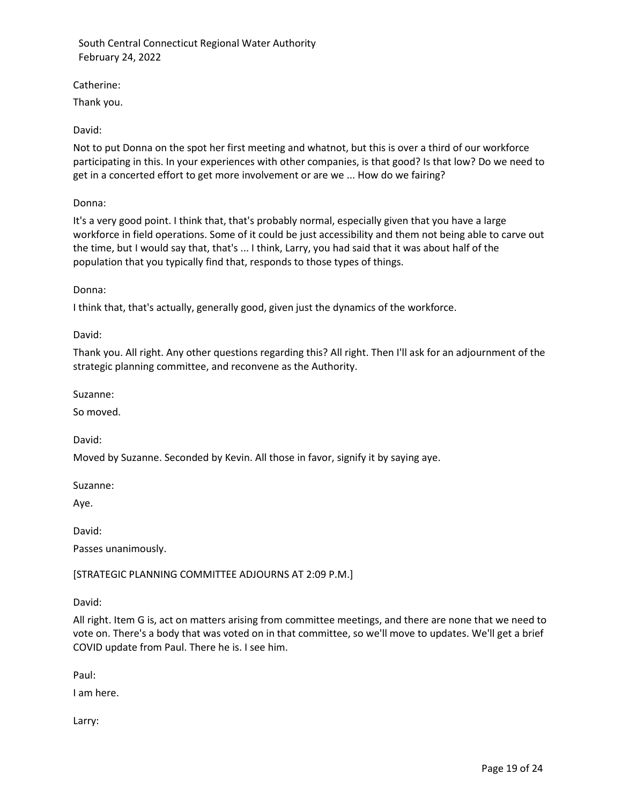Catherine:

Thank you.

# David:

Not to put Donna on the spot her first meeting and whatnot, but this is over a third of our workforce participating in this. In your experiences with other companies, is that good? Is that low? Do we need to get in a concerted effort to get more involvement or are we ... How do we fairing?

Donna:

It's a very good point. I think that, that's probably normal, especially given that you have a large workforce in field operations. Some of it could be just accessibility and them not being able to carve out the time, but I would say that, that's ... I think, Larry, you had said that it was about half of the population that you typically find that, responds to those types of things.

Donna:

I think that, that's actually, generally good, given just the dynamics of the workforce.

David:

Thank you. All right. Any other questions regarding this? All right. Then I'll ask for an adjournment of the strategic planning committee, and reconvene as the Authority.

Suzanne:

So moved.

David:

Moved by Suzanne. Seconded by Kevin. All those in favor, signify it by saying aye.

Suzanne:

Aye.

David:

Passes unanimously.

[STRATEGIC PLANNING COMMITTEE ADJOURNS AT 2:09 P.M.]

David:

All right. Item G is, act on matters arising from committee meetings, and there are none that we need to vote on. There's a body that was voted on in that committee, so we'll move to updates. We'll get a brief COVID update from Paul. There he is. I see him.

Paul:

I am here.

Larry: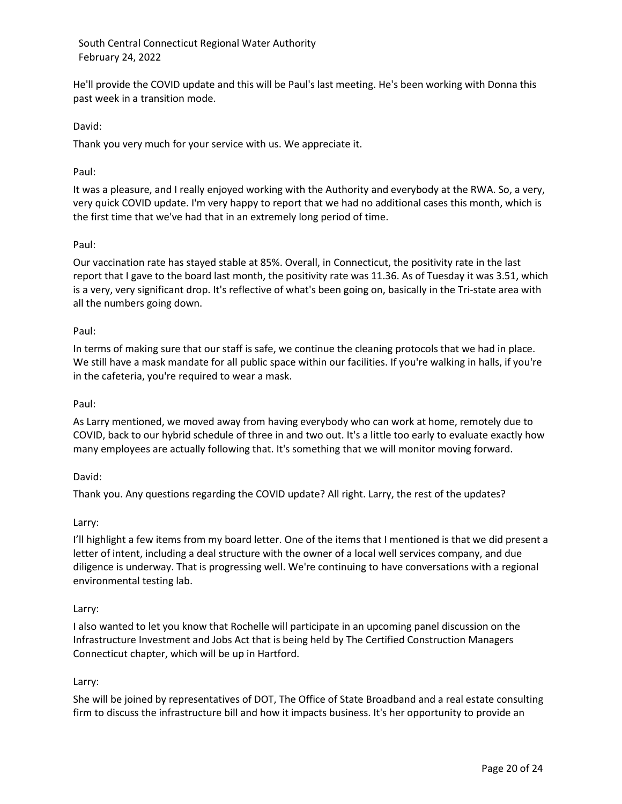He'll provide the COVID update and this will be Paul's last meeting. He's been working with Donna this past week in a transition mode.

## David:

Thank you very much for your service with us. We appreciate it.

### Paul:

It was a pleasure, and I really enjoyed working with the Authority and everybody at the RWA. So, a very, very quick COVID update. I'm very happy to report that we had no additional cases this month, which is the first time that we've had that in an extremely long period of time.

## Paul:

Our vaccination rate has stayed stable at 85%. Overall, in Connecticut, the positivity rate in the last report that I gave to the board last month, the positivity rate was 11.36. As of Tuesday it was 3.51, which is a very, very significant drop. It's reflective of what's been going on, basically in the Tri-state area with all the numbers going down.

## Paul:

In terms of making sure that our staff is safe, we continue the cleaning protocols that we had in place. We still have a mask mandate for all public space within our facilities. If you're walking in halls, if you're in the cafeteria, you're required to wear a mask.

### Paul:

As Larry mentioned, we moved away from having everybody who can work at home, remotely due to COVID, back to our hybrid schedule of three in and two out. It's a little too early to evaluate exactly how many employees are actually following that. It's something that we will monitor moving forward.

### David:

Thank you. Any questions regarding the COVID update? All right. Larry, the rest of the updates?

### Larry:

I'll highlight a few items from my board letter. One of the items that I mentioned is that we did present a letter of intent, including a deal structure with the owner of a local well services company, and due diligence is underway. That is progressing well. We're continuing to have conversations with a regional environmental testing lab.

### Larry:

I also wanted to let you know that Rochelle will participate in an upcoming panel discussion on the Infrastructure Investment and Jobs Act that is being held by The Certified Construction Managers Connecticut chapter, which will be up in Hartford.

## Larry:

She will be joined by representatives of DOT, The Office of State Broadband and a real estate consulting firm to discuss the infrastructure bill and how it impacts business. It's her opportunity to provide an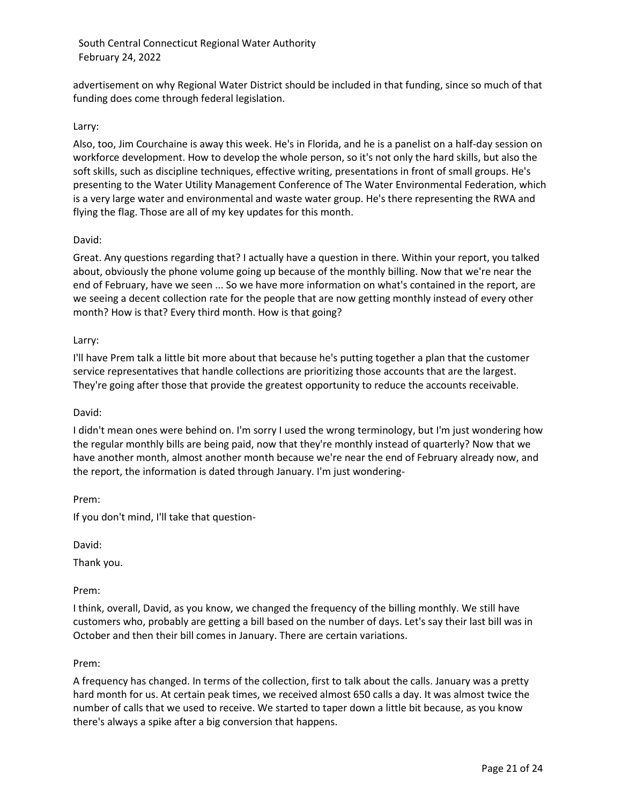advertisement on why Regional Water District should be included in that funding, since so much of that funding does come through federal legislation.

## Larry:

Also, too, Jim Courchaine is away this week. He's in Florida, and he is a panelist on a half-day session on workforce development. How to develop the whole person, so it's not only the hard skills, but also the soft skills, such as discipline techniques, effective writing, presentations in front of small groups. He's presenting to the Water Utility Management Conference of The Water Environmental Federation, which is a very large water and environmental and waste water group. He's there representing the RWA and flying the flag. Those are all of my key updates for this month.

### David:

Great. Any questions regarding that? I actually have a question in there. Within your report, you talked about, obviously the phone volume going up because of the monthly billing. Now that we're near the end of February, have we seen ... So we have more information on what's contained in the report, are we seeing a decent collection rate for the people that are now getting monthly instead of every other month? How is that? Every third month. How is that going?

## Larry:

I'll have Prem talk a little bit more about that because he's putting together a plan that the customer service representatives that handle collections are prioritizing those accounts that are the largest. They're going after those that provide the greatest opportunity to reduce the accounts receivable.

### David:

I didn't mean ones were behind on. I'm sorry I used the wrong terminology, but I'm just wondering how the regular monthly bills are being paid, now that they're monthly instead of quarterly? Now that we have another month, almost another month because we're near the end of February already now, and the report, the information is dated through January. I'm just wondering-

Prem:

If you don't mind, I'll take that question-

David:

Thank you.

Prem:

I think, overall, David, as you know, we changed the frequency of the billing monthly. We still have customers who, probably are getting a bill based on the number of days. Let's say their last bill was in October and then their bill comes in January. There are certain variations.

### Prem:

A frequency has changed. In terms of the collection, first to talk about the calls. January was a pretty hard month for us. At certain peak times, we received almost 650 calls a day. It was almost twice the number of calls that we used to receive. We started to taper down a little bit because, as you know there's always a spike after a big conversion that happens.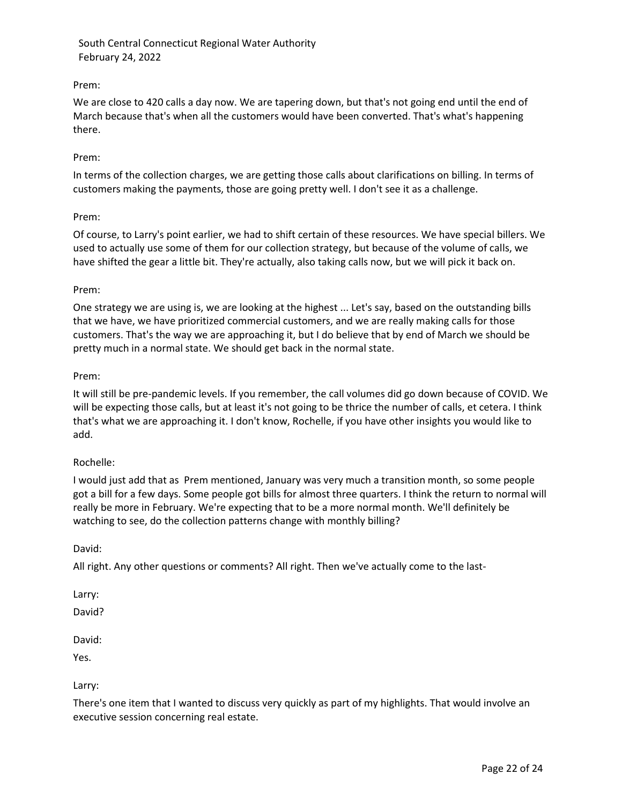## Prem:

We are close to 420 calls a day now. We are tapering down, but that's not going end until the end of March because that's when all the customers would have been converted. That's what's happening there.

### Prem:

In terms of the collection charges, we are getting those calls about clarifications on billing. In terms of customers making the payments, those are going pretty well. I don't see it as a challenge.

## Prem:

Of course, to Larry's point earlier, we had to shift certain of these resources. We have special billers. We used to actually use some of them for our collection strategy, but because of the volume of calls, we have shifted the gear a little bit. They're actually, also taking calls now, but we will pick it back on.

## Prem:

One strategy we are using is, we are looking at the highest ... Let's say, based on the outstanding bills that we have, we have prioritized commercial customers, and we are really making calls for those customers. That's the way we are approaching it, but I do believe that by end of March we should be pretty much in a normal state. We should get back in the normal state.

## Prem:

It will still be pre-pandemic levels. If you remember, the call volumes did go down because of COVID. We will be expecting those calls, but at least it's not going to be thrice the number of calls, et cetera. I think that's what we are approaching it. I don't know, Rochelle, if you have other insights you would like to add.

### Rochelle:

I would just add that as Prem mentioned, January was very much a transition month, so some people got a bill for a few days. Some people got bills for almost three quarters. I think the return to normal will really be more in February. We're expecting that to be a more normal month. We'll definitely be watching to see, do the collection patterns change with monthly billing?

### David:

All right. Any other questions or comments? All right. Then we've actually come to the last-

Larry:

David?

David:

Yes.

Larry:

There's one item that I wanted to discuss very quickly as part of my highlights. That would involve an executive session concerning real estate.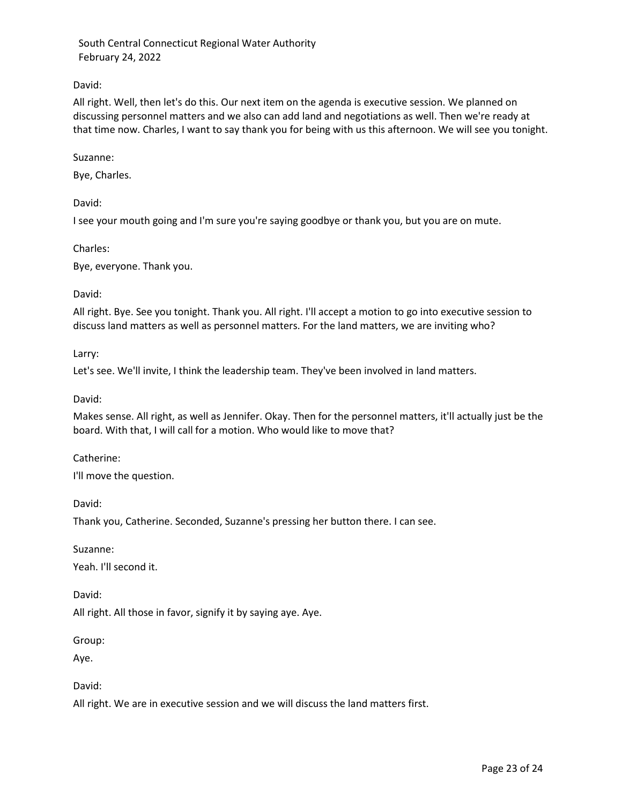## David:

All right. Well, then let's do this. Our next item on the agenda is executive session. We planned on discussing personnel matters and we also can add land and negotiations as well. Then we're ready at that time now. Charles, I want to say thank you for being with us this afternoon. We will see you tonight.

### Suzanne:

Bye, Charles.

David:

I see your mouth going and I'm sure you're saying goodbye or thank you, but you are on mute.

Charles:

Bye, everyone. Thank you.

David:

All right. Bye. See you tonight. Thank you. All right. I'll accept a motion to go into executive session to discuss land matters as well as personnel matters. For the land matters, we are inviting who?

Larry:

Let's see. We'll invite, I think the leadership team. They've been involved in land matters.

David:

Makes sense. All right, as well as Jennifer. Okay. Then for the personnel matters, it'll actually just be the board. With that, I will call for a motion. Who would like to move that?

Catherine:

I'll move the question.

David:

Thank you, Catherine. Seconded, Suzanne's pressing her button there. I can see.

Suzanne:

Yeah. I'll second it.

David:

All right. All those in favor, signify it by saying aye. Aye.

Group:

Aye.

David:

All right. We are in executive session and we will discuss the land matters first.